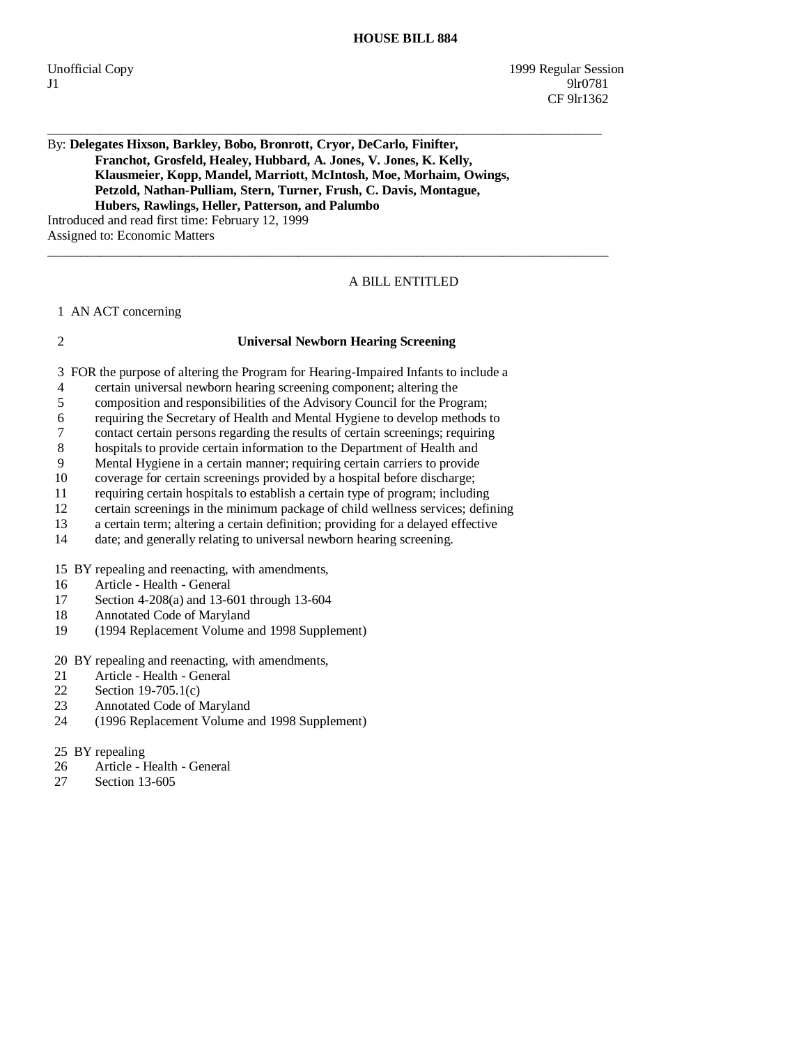## \_\_\_\_\_\_\_\_\_\_\_\_\_\_\_\_\_\_\_\_\_\_\_\_\_\_\_\_\_\_\_\_\_\_\_\_\_\_\_\_\_\_\_\_\_\_\_\_\_\_\_\_\_\_\_\_\_\_\_\_\_\_\_\_\_\_\_\_\_\_\_\_\_\_\_\_\_\_\_\_\_\_\_\_ By: **Delegates Hixson, Barkley, Bobo, Bronrott, Cryor, DeCarlo, Finifter, Franchot, Grosfeld, Healey, Hubbard, A. Jones, V. Jones, K. Kelly, Klausmeier, Kopp, Mandel, Marriott, McIntosh, Moe, Morhaim, Owings, Petzold, Nathan-Pulliam, Stern, Turner, Frush, C. Davis, Montague, Hubers, Rawlings, Heller, Patterson, and Palumbo**  Introduced and read first time: February 12, 1999

Assigned to: Economic Matters

# A BILL ENTITLED

1 AN ACT concerning

## 2 **Universal Newborn Hearing Screening**

 $\overline{\phantom{a}}$  ,  $\overline{\phantom{a}}$  ,  $\overline{\phantom{a}}$  ,  $\overline{\phantom{a}}$  ,  $\overline{\phantom{a}}$  ,  $\overline{\phantom{a}}$  ,  $\overline{\phantom{a}}$  ,  $\overline{\phantom{a}}$  ,  $\overline{\phantom{a}}$  ,  $\overline{\phantom{a}}$  ,  $\overline{\phantom{a}}$  ,  $\overline{\phantom{a}}$  ,  $\overline{\phantom{a}}$  ,  $\overline{\phantom{a}}$  ,  $\overline{\phantom{a}}$  ,  $\overline{\phantom{a}}$ 

3 FOR the purpose of altering the Program for Hearing-Impaired Infants to include a

- 4 certain universal newborn hearing screening component; altering the
- 5 composition and responsibilities of the Advisory Council for the Program;
- 6 requiring the Secretary of Health and Mental Hygiene to develop methods to
- 7 contact certain persons regarding the results of certain screenings; requiring
- 8 hospitals to provide certain information to the Department of Health and
- 9 Mental Hygiene in a certain manner; requiring certain carriers to provide
- 10 coverage for certain screenings provided by a hospital before discharge;
- 11 requiring certain hospitals to establish a certain type of program; including
- 12 certain screenings in the minimum package of child wellness services; defining
- 13 a certain term; altering a certain definition; providing for a delayed effective date: and generally relating to universal newborn hearing screening.
- date; and generally relating to universal newborn hearing screening.

15 BY repealing and reenacting, with amendments,

- 16 Article Health General
- 17 Section 4-208(a) and 13-601 through 13-604
- 18 Annotated Code of Maryland<br>19 (1994 Replacement Volume a
- 19 (1994 Replacement Volume and 1998 Supplement)

20 BY repealing and reenacting, with amendments,

- 21 Article Health General<br>22 Section 19-705.1(c)
- 22 Section 19-705.1(c)<br>23 Annotated Code of 1
- Annotated Code of Maryland
- 24 (1996 Replacement Volume and 1998 Supplement)
- 25 BY repealing
- 26 Article Health General
- 27 Section 13-605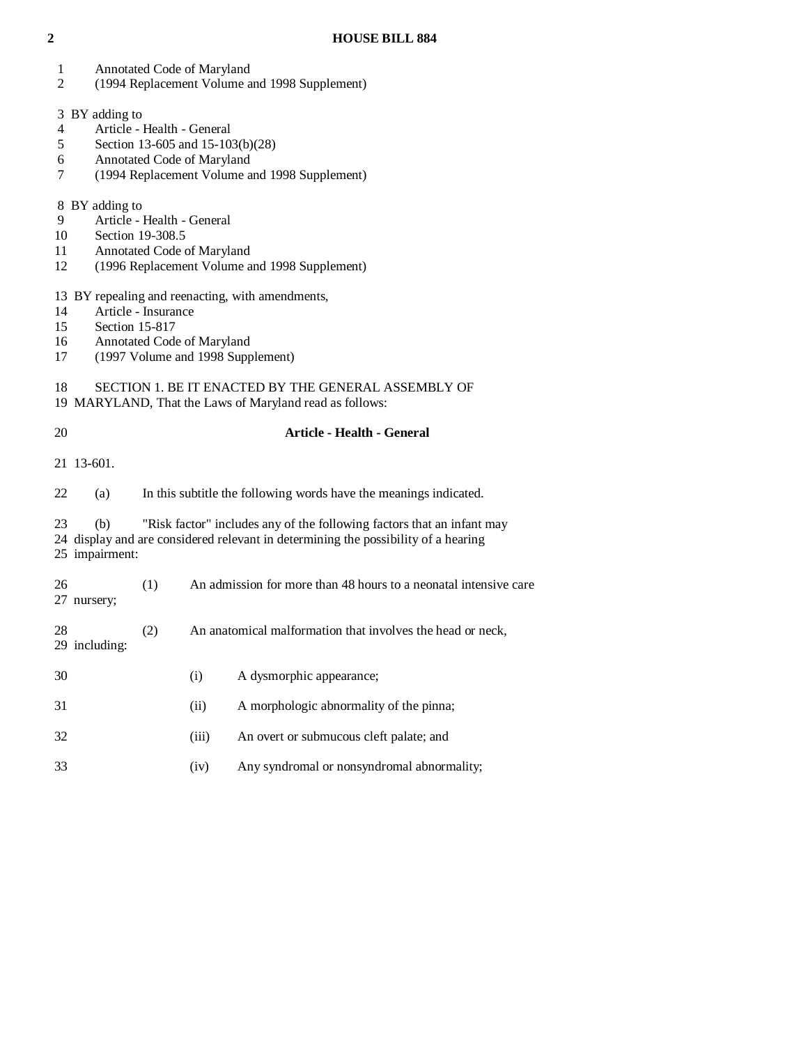- 1 Annotated Code of Maryland
- 2 (1994 Replacement Volume and 1998 Supplement)
- 3 BY adding to
- 
- 4 Article Health General<br>5 Section 13-605 and 15-10 5 Section 13-605 and 15-103(b)(28)
- 6 Annotated Code of Maryland
- 7 (1994 Replacement Volume and 1998 Supplement)
- 8 BY adding to
- 9 Article Health General<br>10 Section 19-308.5
- Section 19-308.5
- 11 Annotated Code of Maryland
- 12 (1996 Replacement Volume and 1998 Supplement)
- 13 BY repealing and reenacting, with amendments,
- 14 Article Insurance<br>15 Section 15-817
- Section 15-817
- 16 Annotated Code of Maryland<br>17 (1997 Volume and 1998 Supp
- 17 (1997 Volume and 1998 Supplement)
- 18 SECTION 1. BE IT ENACTED BY THE GENERAL ASSEMBLY OF
- 19 MARYLAND, That the Laws of Maryland read as follows:

| 20 |                       |     |       | <b>Article - Health - General</b>                                                                                                                            |
|----|-----------------------|-----|-------|--------------------------------------------------------------------------------------------------------------------------------------------------------------|
|    | 21 13-601.            |     |       |                                                                                                                                                              |
| 22 | (a)                   |     |       | In this subtitle the following words have the meanings indicated.                                                                                            |
| 23 | (b)<br>25 impairment: |     |       | "Risk factor" includes any of the following factors that an infant may<br>24 display and are considered relevant in determining the possibility of a hearing |
| 26 | 27 nursery;           | (1) |       | An admission for more than 48 hours to a neonatal intensive care                                                                                             |
| 28 | 29 including:         | (2) |       | An anatomical malformation that involves the head or neck,                                                                                                   |
| 30 |                       |     | (i)   | A dysmorphic appearance;                                                                                                                                     |
| 31 |                       |     | (ii)  | A morphologic abnormality of the pinna;                                                                                                                      |
| 32 |                       |     | (iii) | An overt or submucous cleft palate; and                                                                                                                      |
| 33 |                       |     | (iv)  | Any syndromal or nonsyndromal abnormality;                                                                                                                   |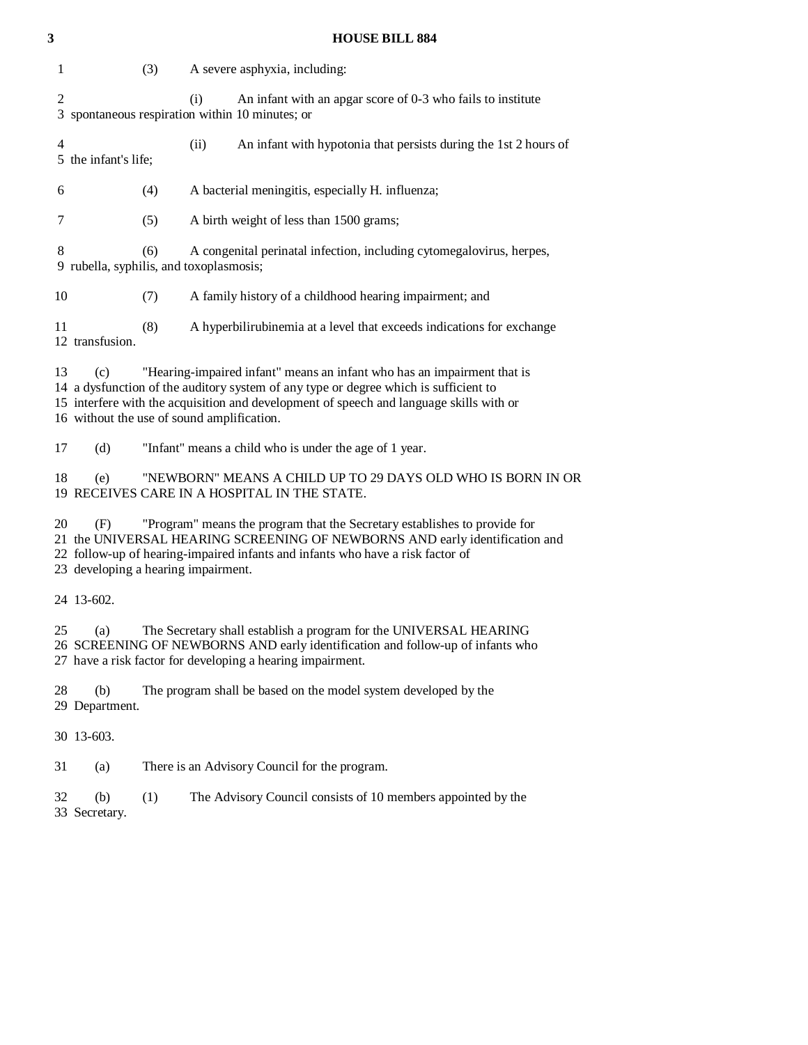| 3                                                                                                                                                                                                                                                                                              | <b>HOUSE BILL 884</b>                                                                                                                                                                                                                                                                                           |  |  |  |
|------------------------------------------------------------------------------------------------------------------------------------------------------------------------------------------------------------------------------------------------------------------------------------------------|-----------------------------------------------------------------------------------------------------------------------------------------------------------------------------------------------------------------------------------------------------------------------------------------------------------------|--|--|--|
| 1                                                                                                                                                                                                                                                                                              | (3)<br>A severe asphyxia, including:                                                                                                                                                                                                                                                                            |  |  |  |
| $\overline{c}$<br>3                                                                                                                                                                                                                                                                            | An infant with an apgar score of 0-3 who fails to institute<br>(i)<br>spontaneous respiration within 10 minutes; or                                                                                                                                                                                             |  |  |  |
| $\overline{4}$                                                                                                                                                                                                                                                                                 | (ii)<br>An infant with hypotonia that persists during the 1st 2 hours of<br>5 the infant's life;                                                                                                                                                                                                                |  |  |  |
| 6                                                                                                                                                                                                                                                                                              | A bacterial meningitis, especially H. influenza;<br>(4)                                                                                                                                                                                                                                                         |  |  |  |
| 7                                                                                                                                                                                                                                                                                              | (5)<br>A birth weight of less than 1500 grams;                                                                                                                                                                                                                                                                  |  |  |  |
| 8                                                                                                                                                                                                                                                                                              | (6)<br>A congenital perinatal infection, including cytomegalovirus, herpes,<br>9 rubella, syphilis, and toxoplasmosis;                                                                                                                                                                                          |  |  |  |
| 10                                                                                                                                                                                                                                                                                             | (7)<br>A family history of a childhood hearing impairment; and                                                                                                                                                                                                                                                  |  |  |  |
| 11                                                                                                                                                                                                                                                                                             | (8)<br>A hyperbilirubinemia at a level that exceeds indications for exchange<br>12 transfusion.                                                                                                                                                                                                                 |  |  |  |
| 13                                                                                                                                                                                                                                                                                             | "Hearing-impaired infant" means an infant who has an impairment that is<br>(c)<br>14 a dysfunction of the auditory system of any type or degree which is sufficient to<br>15 interfere with the acquisition and development of speech and language skills with or<br>16 without the use of sound amplification. |  |  |  |
| 17                                                                                                                                                                                                                                                                                             | "Infant" means a child who is under the age of 1 year.<br>(d)                                                                                                                                                                                                                                                   |  |  |  |
| 18                                                                                                                                                                                                                                                                                             | "NEWBORN" MEANS A CHILD UP TO 29 DAYS OLD WHO IS BORN IN OR<br>(e)<br>19 RECEIVES CARE IN A HOSPITAL IN THE STATE.                                                                                                                                                                                              |  |  |  |
| 20<br>"Program" means the program that the Secretary establishes to provide for<br>(F)<br>21 the UNIVERSAL HEARING SCREENING OF NEWBORNS AND early identification and<br>22 follow-up of hearing-impaired infants and infants who have a risk factor of<br>23 developing a hearing impairment. |                                                                                                                                                                                                                                                                                                                 |  |  |  |
|                                                                                                                                                                                                                                                                                                | 24 13-602.                                                                                                                                                                                                                                                                                                      |  |  |  |
| 25                                                                                                                                                                                                                                                                                             | The Secretary shall establish a program for the UNIVERSAL HEARING<br>(a)<br>26 SCREENING OF NEWBORNS AND early identification and follow-up of infants who<br>27 have a risk factor for developing a hearing impairment.                                                                                        |  |  |  |
| 28                                                                                                                                                                                                                                                                                             | (b)<br>The program shall be based on the model system developed by the<br>29 Department.                                                                                                                                                                                                                        |  |  |  |
|                                                                                                                                                                                                                                                                                                | 30 13-603.                                                                                                                                                                                                                                                                                                      |  |  |  |
| 31                                                                                                                                                                                                                                                                                             | There is an Advisory Council for the program.<br>(a)                                                                                                                                                                                                                                                            |  |  |  |
| 32                                                                                                                                                                                                                                                                                             | (1)<br>The Advisory Council consists of 10 members appointed by the<br>(b)<br>33 Secretary.                                                                                                                                                                                                                     |  |  |  |
|                                                                                                                                                                                                                                                                                                |                                                                                                                                                                                                                                                                                                                 |  |  |  |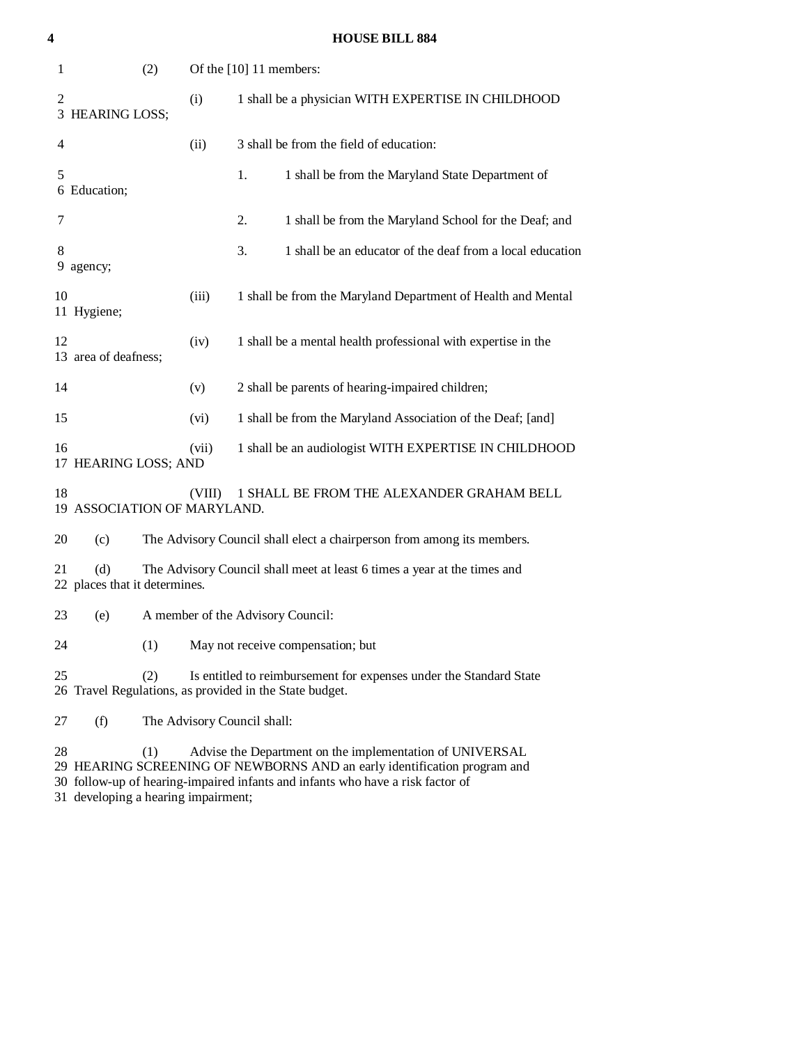| 4              |                                      |        | <b>HOUSE BILL 884</b>                                                                                                                                                                                                  |
|----------------|--------------------------------------|--------|------------------------------------------------------------------------------------------------------------------------------------------------------------------------------------------------------------------------|
| 1              | (2)                                  |        | Of the [10] 11 members:                                                                                                                                                                                                |
| 2              | 3 HEARING LOSS;                      | (i)    | 1 shall be a physician WITH EXPERTISE IN CHILDHOOD                                                                                                                                                                     |
| $\overline{4}$ |                                      | (ii)   | 3 shall be from the field of education:                                                                                                                                                                                |
| 5              | 6 Education;                         |        | 1 shall be from the Maryland State Department of<br>1.                                                                                                                                                                 |
| 7              |                                      |        | 2.<br>1 shall be from the Maryland School for the Deaf; and                                                                                                                                                            |
| 8              | 9 agency;                            |        | 1 shall be an educator of the deaf from a local education<br>3.                                                                                                                                                        |
| 10             | 11 Hygiene;                          | (iii)  | 1 shall be from the Maryland Department of Health and Mental                                                                                                                                                           |
| 12             | 13 area of deafness;                 | (iv)   | 1 shall be a mental health professional with expertise in the                                                                                                                                                          |
| 14             |                                      | (v)    | 2 shall be parents of hearing-impaired children;                                                                                                                                                                       |
| 15             |                                      | (vi)   | 1 shall be from the Maryland Association of the Deaf; [and]                                                                                                                                                            |
| 16             | 17 HEARING LOSS; AND                 | (vii)  | 1 shall be an audiologist WITH EXPERTISE IN CHILDHOOD                                                                                                                                                                  |
| 18             | 19 ASSOCIATION OF MARYLAND.          | (VIII) | 1 SHALL BE FROM THE ALEXANDER GRAHAM BELL                                                                                                                                                                              |
| 20             | (c)                                  |        | The Advisory Council shall elect a chairperson from among its members.                                                                                                                                                 |
| 21             | (d)<br>22 places that it determines. |        | The Advisory Council shall meet at least 6 times a year at the times and                                                                                                                                               |
| 23             | (e)                                  |        | A member of the Advisory Council:                                                                                                                                                                                      |
| 24             | (1)                                  |        | May not receive compensation; but                                                                                                                                                                                      |
| 25             | (2)                                  |        | Is entitled to reimbursement for expenses under the Standard State<br>26 Travel Regulations, as provided in the State budget.                                                                                          |
| 27             | (f)                                  |        | The Advisory Council shall:                                                                                                                                                                                            |
| 28             | (1)                                  |        | Advise the Department on the implementation of UNIVERSAL<br>29 HEARING SCREENING OF NEWBORNS AND an early identification program and<br>30 follow-up of hearing-impaired infants and infants who have a risk factor of |

31 developing a hearing impairment;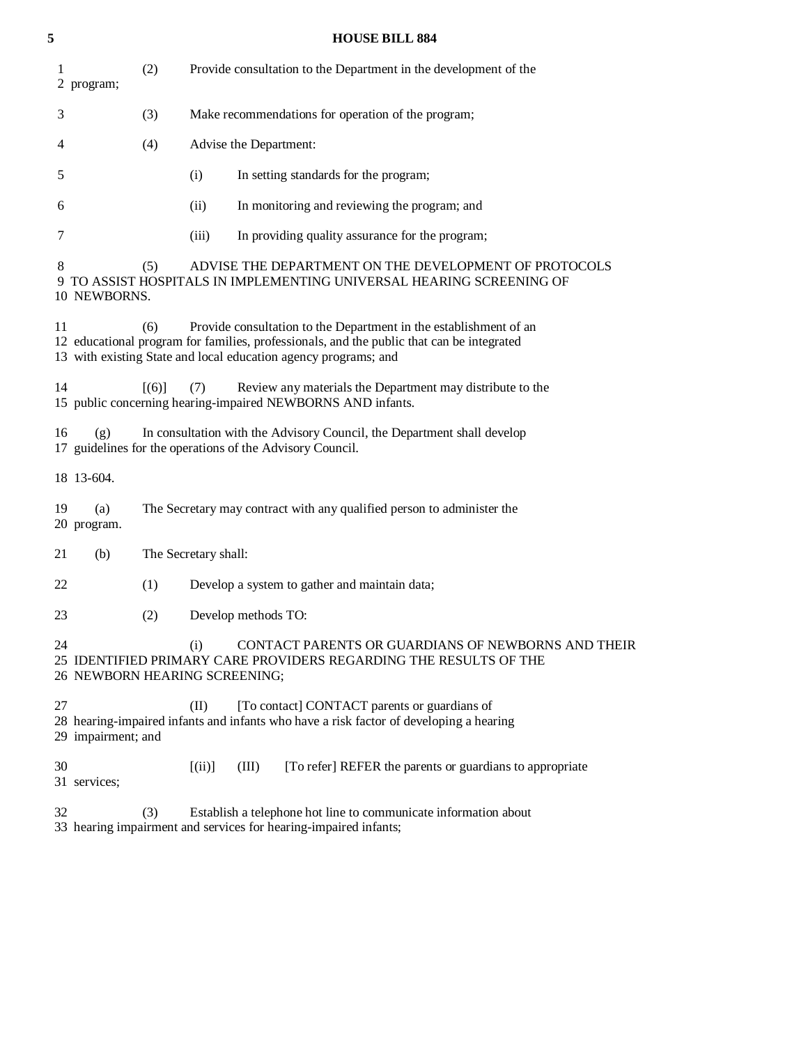| 5  |                    |                     | <b>HOUSE BILL 884</b>                                                                                                                                                                                                             |
|----|--------------------|---------------------|-----------------------------------------------------------------------------------------------------------------------------------------------------------------------------------------------------------------------------------|
| 1  | 2 program;         | (2)                 | Provide consultation to the Department in the development of the                                                                                                                                                                  |
| 3  |                    | (3)                 | Make recommendations for operation of the program;                                                                                                                                                                                |
| 4  |                    | (4)                 | Advise the Department:                                                                                                                                                                                                            |
| 5  |                    |                     | (i)<br>In setting standards for the program;                                                                                                                                                                                      |
| 6  |                    |                     | (ii)<br>In monitoring and reviewing the program; and                                                                                                                                                                              |
| 7  |                    |                     | (iii)<br>In providing quality assurance for the program;                                                                                                                                                                          |
| 8  | 10 NEWBORNS.       | (5)                 | ADVISE THE DEPARTMENT ON THE DEVELOPMENT OF PROTOCOLS<br>9 TO ASSIST HOSPITALS IN IMPLEMENTING UNIVERSAL HEARING SCREENING OF                                                                                                     |
| 11 |                    | (6)                 | Provide consultation to the Department in the establishment of an<br>12 educational program for families, professionals, and the public that can be integrated<br>13 with existing State and local education agency programs; and |
| 14 |                    | $\lceil (6) \rceil$ | Review any materials the Department may distribute to the<br>(7)<br>15 public concerning hearing-impaired NEWBORNS AND infants.                                                                                                   |
| 16 | (g)                |                     | In consultation with the Advisory Council, the Department shall develop<br>17 guidelines for the operations of the Advisory Council.                                                                                              |
|    | 18 13-604.         |                     |                                                                                                                                                                                                                                   |
| 19 | (a)<br>20 program. |                     | The Secretary may contract with any qualified person to administer the                                                                                                                                                            |
| 21 | (b)                |                     | The Secretary shall:                                                                                                                                                                                                              |
| 22 |                    | (1)                 | Develop a system to gather and maintain data;                                                                                                                                                                                     |
| 23 |                    | (2)                 | Develop methods TO:                                                                                                                                                                                                               |
| 24 |                    |                     | (i)<br>CONTACT PARENTS OR GUARDIANS OF NEWBORNS AND THEIR<br>25 IDENTIFIED PRIMARY CARE PROVIDERS REGARDING THE RESULTS OF THE<br>26 NEWBORN HEARING SCREENING;                                                                   |
| 27 | 29 impairment; and |                     | (II)<br>[To contact] CONTACT parents or guardians of<br>28 hearing-impaired infants and infants who have a risk factor of developing a hearing                                                                                    |
| 30 | 31 services;       |                     | $[$ (ii)]<br>(III)<br>[To refer] REFER the parents or guardians to appropriate                                                                                                                                                    |
| 32 |                    | (3)                 | Establish a telephone hot line to communicate information about<br>33 hearing impairment and services for hearing-impaired infants;                                                                                               |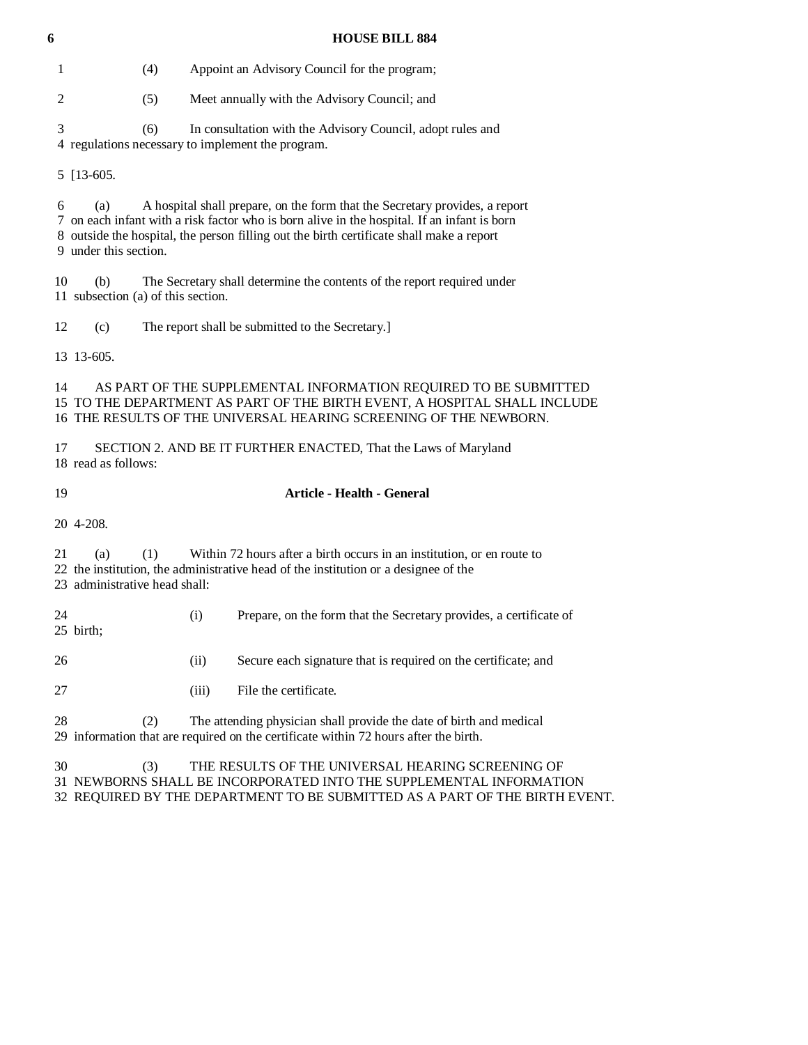| 6              | <b>HOUSE BILL 884</b>                                                                                                                                                                                                                                                                                  |  |  |  |  |
|----------------|--------------------------------------------------------------------------------------------------------------------------------------------------------------------------------------------------------------------------------------------------------------------------------------------------------|--|--|--|--|
| 1              | (4)<br>Appoint an Advisory Council for the program;                                                                                                                                                                                                                                                    |  |  |  |  |
| $\overline{c}$ | Meet annually with the Advisory Council; and<br>(5)                                                                                                                                                                                                                                                    |  |  |  |  |
| 3              | (6)<br>In consultation with the Advisory Council, adopt rules and<br>4 regulations necessary to implement the program.                                                                                                                                                                                 |  |  |  |  |
|                | 5 [13-605.]                                                                                                                                                                                                                                                                                            |  |  |  |  |
| 6              | A hospital shall prepare, on the form that the Secretary provides, a report<br>(a)<br>7 on each infant with a risk factor who is born alive in the hospital. If an infant is born<br>8 outside the hospital, the person filling out the birth certificate shall make a report<br>9 under this section. |  |  |  |  |
| 10             | The Secretary shall determine the contents of the report required under<br>(b)<br>11 subsection (a) of this section.                                                                                                                                                                                   |  |  |  |  |
| 12             | The report shall be submitted to the Secretary.]<br>(c)                                                                                                                                                                                                                                                |  |  |  |  |
|                | 13 13 - 605.                                                                                                                                                                                                                                                                                           |  |  |  |  |
| 14             | AS PART OF THE SUPPLEMENTAL INFORMATION REQUIRED TO BE SUBMITTED<br>15 TO THE DEPARTMENT AS PART OF THE BIRTH EVENT, A HOSPITAL SHALL INCLUDE<br>16 THE RESULTS OF THE UNIVERSAL HEARING SCREENING OF THE NEWBORN.                                                                                     |  |  |  |  |
| 17             | SECTION 2. AND BE IT FURTHER ENACTED, That the Laws of Maryland<br>18 read as follows:                                                                                                                                                                                                                 |  |  |  |  |
| 19             | <b>Article - Health - General</b>                                                                                                                                                                                                                                                                      |  |  |  |  |
|                | 20 4-208.                                                                                                                                                                                                                                                                                              |  |  |  |  |
| 21             | (1)<br>Within 72 hours after a birth occurs in an institution, or en route to<br>(a)<br>22 the institution, the administrative head of the institution or a designee of the<br>23 administrative head shall:                                                                                           |  |  |  |  |
| 24             | Prepare, on the form that the Secretary provides, a certificate of<br>(i)<br>25 birth;                                                                                                                                                                                                                 |  |  |  |  |
| 26             | Secure each signature that is required on the certificate; and<br>(ii)                                                                                                                                                                                                                                 |  |  |  |  |
| 27             | File the certificate.<br>(iii)                                                                                                                                                                                                                                                                         |  |  |  |  |
| 28             | (2)<br>The attending physician shall provide the date of birth and medical<br>29 information that are required on the certificate within 72 hours after the birth.                                                                                                                                     |  |  |  |  |
| 30             | THE RESULTS OF THE UNIVERSAL HEARING SCREENING OF<br>(3)<br>31 NEWBORNS SHALL BE INCORPORATED INTO THE SUPPLEMENTAL INFORMATION                                                                                                                                                                        |  |  |  |  |

32 REQUIRED BY THE DEPARTMENT TO BE SUBMITTED AS A PART OF THE BIRTH EVENT.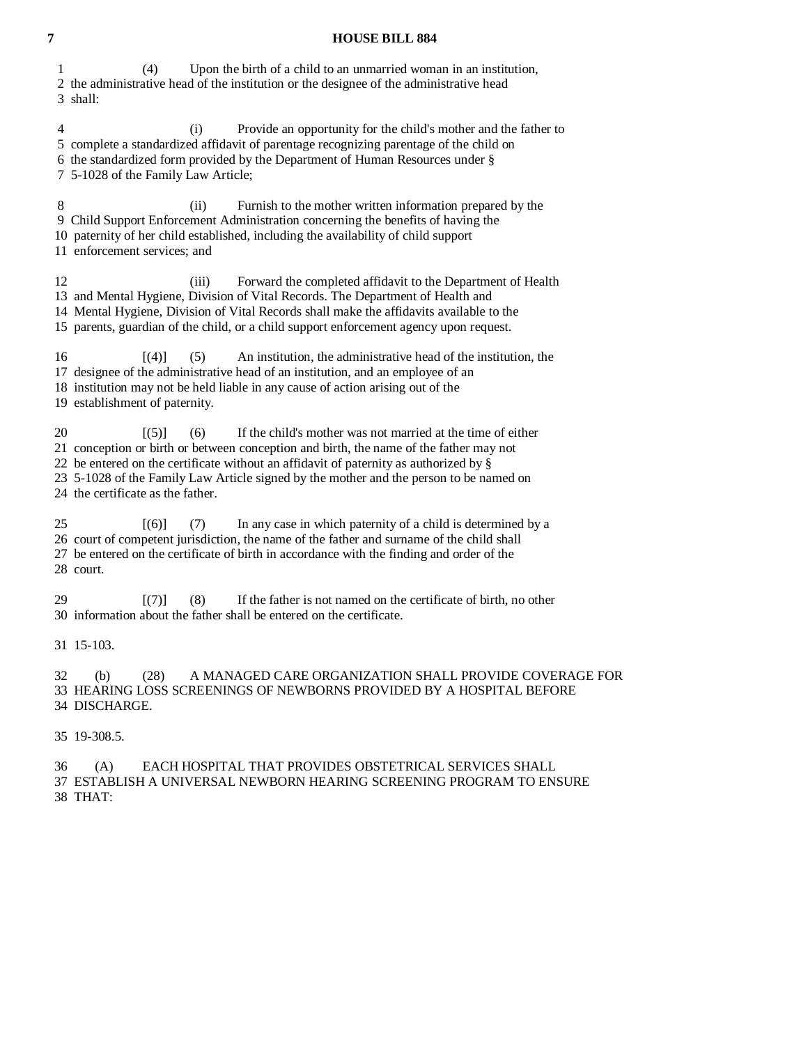### **7 HOUSE BILL 884**

 1 (4) Upon the birth of a child to an unmarried woman in an institution, 2 the administrative head of the institution or the designee of the administrative head 3 shall: 4 (i) Provide an opportunity for the child's mother and the father to 5 complete a standardized affidavit of parentage recognizing parentage of the child on 6 the standardized form provided by the Department of Human Resources under § 7 5-1028 of the Family Law Article; 8 (ii) Furnish to the mother written information prepared by the 9 Child Support Enforcement Administration concerning the benefits of having the 10 paternity of her child established, including the availability of child support 11 enforcement services; and 12 (iii) Forward the completed affidavit to the Department of Health 13 and Mental Hygiene, Division of Vital Records. The Department of Health and 14 Mental Hygiene, Division of Vital Records shall make the affidavits available to the 15 parents, guardian of the child, or a child support enforcement agency upon request. 16 [(4)] (5) An institution, the administrative head of the institution, the 17 designee of the administrative head of an institution, and an employee of an 18 institution may not be held liable in any cause of action arising out of the 19 establishment of paternity. 20  $[(5)]$  (6) If the child's mother was not married at the time of either 21 conception or birth or between conception and birth, the name of the father may not 22 be entered on the certificate without an affidavit of paternity as authorized by  $\S$  23 5-1028 of the Family Law Article signed by the mother and the person to be named on 24 the certificate as the father. 25 [(6)] (7) In any case in which paternity of a child is determined by a 26 court of competent jurisdiction, the name of the father and surname of the child shall 27 be entered on the certificate of birth in accordance with the finding and order of the 28 court.  $[7]$  (8) If the father is not named on the certificate of birth, no other 30 information about the father shall be entered on the certificate. 31 15-103. 32 (b) (28) A MANAGED CARE ORGANIZATION SHALL PROVIDE COVERAGE FOR 33 HEARING LOSS SCREENINGS OF NEWBORNS PROVIDED BY A HOSPITAL BEFORE 34 DISCHARGE.

35 19-308.5.

 36 (A) EACH HOSPITAL THAT PROVIDES OBSTETRICAL SERVICES SHALL 37 ESTABLISH A UNIVERSAL NEWBORN HEARING SCREENING PROGRAM TO ENSURE 38 THAT: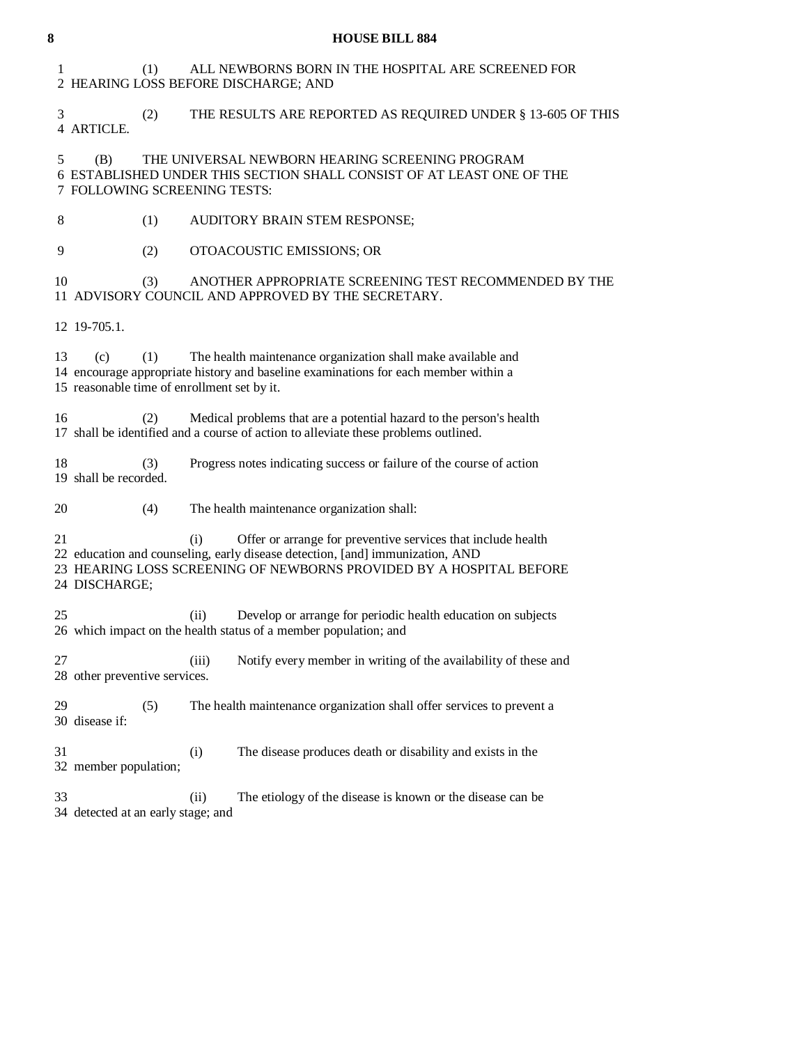| 8  |                                                           |                               | <b>HOUSE BILL 884</b>                                                                                                                                                                                                |  |
|----|-----------------------------------------------------------|-------------------------------|----------------------------------------------------------------------------------------------------------------------------------------------------------------------------------------------------------------------|--|
| 1  | (1)<br>2 HEARING LOSS BEFORE DISCHARGE; AND               |                               | ALL NEWBORNS BORN IN THE HOSPITAL ARE SCREENED FOR                                                                                                                                                                   |  |
| 3  | (2)<br>4 ARTICLE.                                         |                               | THE RESULTS ARE REPORTED AS REQUIRED UNDER § 13-605 OF THIS                                                                                                                                                          |  |
| 5  | (B)<br>7 FOLLOWING SCREENING TESTS:                       |                               | THE UNIVERSAL NEWBORN HEARING SCREENING PROGRAM<br>6 ESTABLISHED UNDER THIS SECTION SHALL CONSIST OF AT LEAST ONE OF THE                                                                                             |  |
| 8  | (1)                                                       | AUDITORY BRAIN STEM RESPONSE; |                                                                                                                                                                                                                      |  |
| 9  | (2)                                                       |                               | OTOACOUSTIC EMISSIONS; OR                                                                                                                                                                                            |  |
| 10 | (3)                                                       |                               | ANOTHER APPROPRIATE SCREENING TEST RECOMMENDED BY THE<br>11 ADVISORY COUNCIL AND APPROVED BY THE SECRETARY.                                                                                                          |  |
|    | 12 19-705.1.                                              |                               |                                                                                                                                                                                                                      |  |
| 13 | (c)<br>(1)<br>15 reasonable time of enrollment set by it. |                               | The health maintenance organization shall make available and<br>14 encourage appropriate history and baseline examinations for each member within a                                                                  |  |
| 16 | (2)                                                       |                               | Medical problems that are a potential hazard to the person's health<br>17 shall be identified and a course of action to alleviate these problems outlined.                                                           |  |
| 18 | (3)<br>19 shall be recorded.                              |                               | Progress notes indicating success or failure of the course of action                                                                                                                                                 |  |
| 20 | (4)                                                       |                               | The health maintenance organization shall:                                                                                                                                                                           |  |
| 21 | 24 DISCHARGE;                                             | (i)                           | Offer or arrange for preventive services that include health<br>22 education and counseling, early disease detection, [and] immunization, AND<br>23 HEARING LOSS SCREENING OF NEWBORNS PROVIDED BY A HOSPITAL BEFORE |  |
| 25 |                                                           | (ii)                          | Develop or arrange for periodic health education on subjects<br>26 which impact on the health status of a member population; and                                                                                     |  |
| 27 | 28 other preventive services.                             | (iii)                         | Notify every member in writing of the availability of these and                                                                                                                                                      |  |
| 29 | (5)<br>30 disease if:                                     |                               | The health maintenance organization shall offer services to prevent a                                                                                                                                                |  |
| 31 | 32 member population;                                     | (i)                           | The disease produces death or disability and exists in the                                                                                                                                                           |  |
| 33 | 34 detected at an early stage; and                        | (ii)                          | The etiology of the disease is known or the disease can be                                                                                                                                                           |  |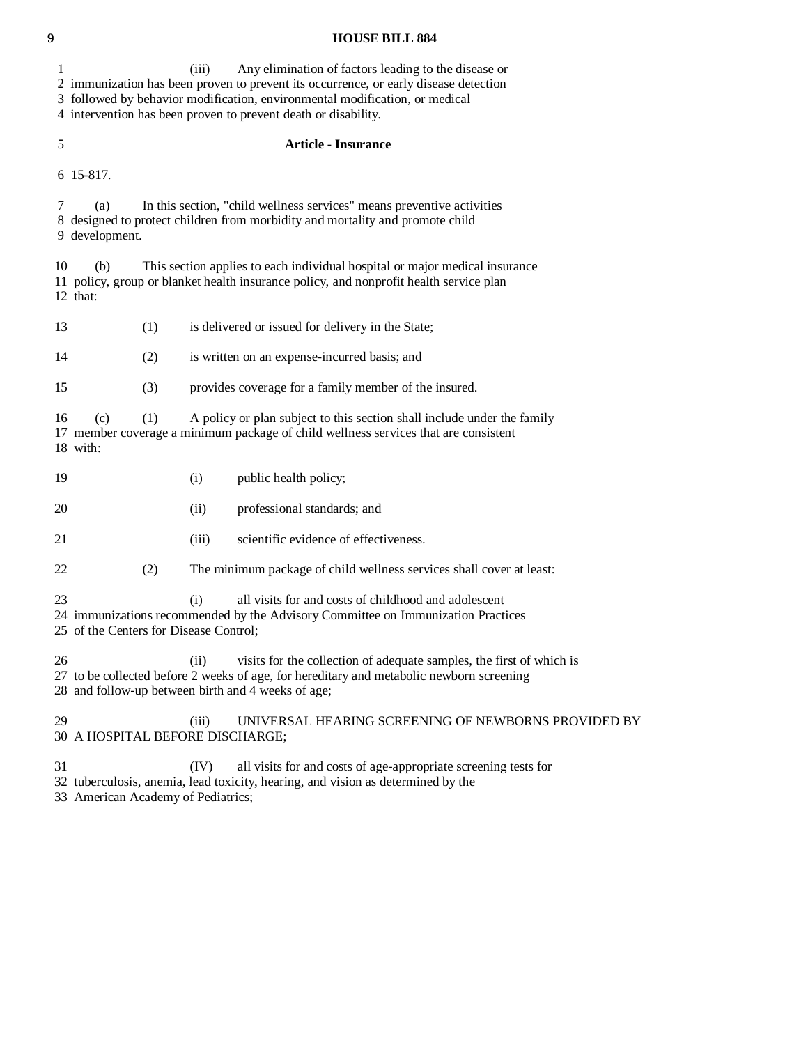**9 HOUSE BILL 884**  1 (iii) Any elimination of factors leading to the disease or 2 immunization has been proven to prevent its occurrence, or early disease detection 3 followed by behavior modification, environmental modification, or medical 4 intervention has been proven to prevent death or disability. 5 **Article - Insurance**  6 15-817. 7 (a) In this section, "child wellness services" means preventive activities 8 designed to protect children from morbidity and mortality and promote child 9 development. 10 (b) This section applies to each individual hospital or major medical insurance 11 policy, group or blanket health insurance policy, and nonprofit health service plan 12 that: 13 (1) is delivered or issued for delivery in the State; 14 (2) is written on an expense-incurred basis; and 15 (3) provides coverage for a family member of the insured. 16 (c) (1) A policy or plan subject to this section shall include under the family 17 member coverage a minimum package of child wellness services that are consistent 18 with: 19 (i) public health policy; 20 (ii) professional standards; and 21 (iii) scientific evidence of effectiveness. 22 (2) The minimum package of child wellness services shall cover at least:

23 (i) all visits for and costs of childhood and adolescent

24 immunizations recommended by the Advisory Committee on Immunization Practices

25 of the Centers for Disease Control;

 26 (ii) visits for the collection of adequate samples, the first of which is 27 to be collected before 2 weeks of age, for hereditary and metabolic newborn screening 28 and follow-up between birth and 4 weeks of age;

29 (iii) UNIVERSAL HEARING SCREENING OF NEWBORNS PROVIDED BY 30 A HOSPITAL BEFORE DISCHARGE;

31 (IV) all visits for and costs of age-appropriate screening tests for

32 tuberculosis, anemia, lead toxicity, hearing, and vision as determined by the

33 American Academy of Pediatrics;